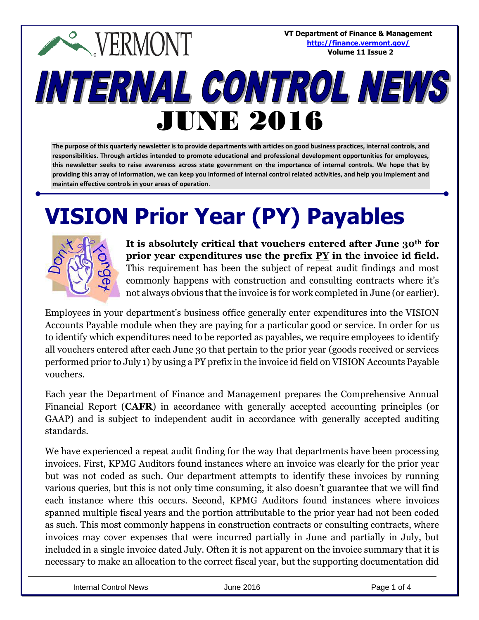**VT Department of Finance & Management EXPERMONT <http://finance.vermont.gov/> Volume 11 Issue 2**INTERNAL CONTROL NEWS JUNE 2016

**The purpose of this quarterly newsletter is to provide departments with articles on good business practices, internal controls, and responsibilities. Through articles intended to promote educational and professional development opportunities for employees, this newsletter seeks to raise awareness across state government on the importance of internal controls. We hope that by providing this array of information, we can keep you informed of internal control related activities, and help you implement and maintain effective controls in your areas of operation**.

# **VISION Prior Year (PY) Payables**



**It is absolutely critical that vouchers entered after June 30th for prior year expenditures use the prefix PY in the invoice id field.** This requirement has been the subject of repeat audit findings and most commonly happens with construction and consulting contracts where it's not always obvious that the invoice is for work completed in June (or earlier).

Employees in your department's business office generally enter expenditures into the VISION Accounts Payable module when they are paying for a particular good or service. In order for us to identify which expenditures need to be reported as payables, we require employees to identify all vouchers entered after each June 30 that pertain to the prior year (goods received or services performed prior to July 1) by using a PY prefix in the invoice id field on VISION Accounts Payable vouchers.

Each year the Department of Finance and Management prepares the Comprehensive Annual Financial Report (**CAFR**) in accordance with generally accepted accounting principles (or GAAP) and is subject to independent audit in accordance with generally accepted auditing standards.

We have experienced a repeat audit finding for the way that departments have been processing invoices. First, KPMG Auditors found instances where an invoice was clearly for the prior year but was not coded as such. Our department attempts to identify these invoices by running various queries, but this is not only time consuming, it also doesn't guarantee that we will find each instance where this occurs. Second, KPMG Auditors found instances where invoices spanned multiple fiscal years and the portion attributable to the prior year had not been coded as such. This most commonly happens in construction contracts or consulting contracts, where invoices may cover expenses that were incurred partially in June and partially in July, but included in a single invoice dated July. Often it is not apparent on the invoice summary that it is necessary to make an allocation to the correct fiscal year, but the supporting documentation did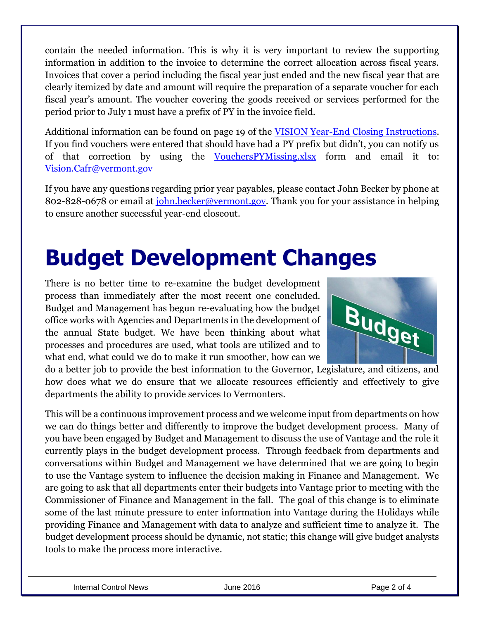contain the needed information. This is why it is very important to review the supporting information in addition to the invoice to determine the correct allocation across fiscal years. Invoices that cover a period including the fiscal year just ended and the new fiscal year that are clearly itemized by date and amount will require the preparation of a separate voucher for each fiscal year's amount. The voucher covering the goods received or services performed for the period prior to July 1 must have a prefix of PY in the invoice field.

Additional information can be found on page 19 of the [VISION Year-End Closing Instructions.](http://finance.vermont.gov/sites/finance/files/pdf/vision_procedures/FY2016_YearEnd_ClosingInstructions.pdf) If you find vouchers were entered that should have had a PY prefix but didn't, you can notify us of that correction by using the [VouchersPYMissing.xlsx](http://finance.vermont.gov/sites/finance/files/pdf/forms/cafr/VouchersPYmissing.xlsx) form and email it to: [Vision.Cafr@vermont.gov](mailto:Vision.Cafr@vermont.gov)

If you have any questions regarding prior year payables, please contact John Becker by phone at 802-828-0678 or email at *john.becker@vermont.gov*. Thank you for your assistance in helping to ensure another successful year-end closeout.

### **Budget Development Changes**

There is no better time to re-examine the budget development process than immediately after the most recent one concluded. Budget and Management has begun re-evaluating how the budget office works with Agencies and Departments in the development of the annual State budget. We have been thinking about what processes and procedures are used, what tools are utilized and to what end, what could we do to make it run smoother, how can we



do a better job to provide the best information to the Governor, Legislature, and citizens, and how does what we do ensure that we allocate resources efficiently and effectively to give departments the ability to provide services to Vermonters.

This will be a continuous improvement process and we welcome input from departments on how we can do things better and differently to improve the budget development process. Many of you have been engaged by Budget and Management to discuss the use of Vantage and the role it currently plays in the budget development process. Through feedback from departments and conversations within Budget and Management we have determined that we are going to begin to use the Vantage system to influence the decision making in Finance and Management. We are going to ask that all departments enter their budgets into Vantage prior to meeting with the Commissioner of Finance and Management in the fall. The goal of this change is to eliminate some of the last minute pressure to enter information into Vantage during the Holidays while providing Finance and Management with data to analyze and sufficient time to analyze it. The budget development process should be dynamic, not static; this change will give budget analysts tools to make the process more interactive.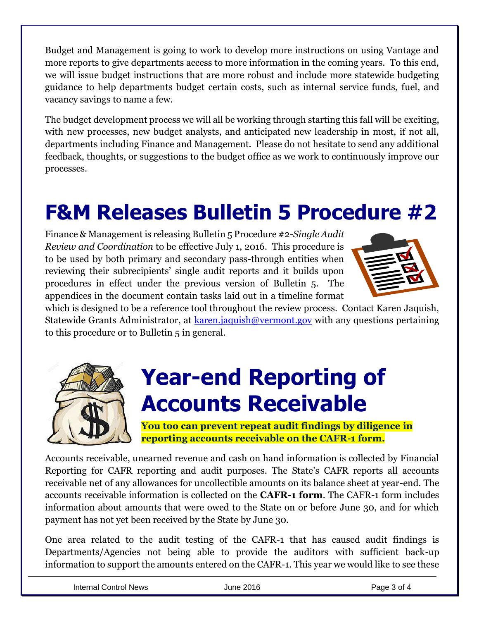Budget and Management is going to work to develop more instructions on using Vantage and more reports to give departments access to more information in the coming years. To this end, we will issue budget instructions that are more robust and include more statewide budgeting guidance to help departments budget certain costs, such as internal service funds, fuel, and vacancy savings to name a few.

The budget development process we will all be working through starting this fall will be exciting, with new processes, new budget analysts, and anticipated new leadership in most, if not all, departments including Finance and Management. Please do not hesitate to send any additional feedback, thoughts, or suggestions to the budget office as we work to continuously improve our processes.

#### **F&M Releases Bulletin 5 Procedure #2**

Finance & Management is releasing Bulletin 5 Procedure #2-*Single Audit Review and Coordination* to be effective July 1, 2016. This procedure is to be used by both primary and secondary pass-through entities when reviewing their subrecipients' single audit reports and it builds upon procedures in effect under the previous version of Bulletin 5. The appendices in the document contain tasks laid out in a timeline format



which is designed to be a reference tool throughout the review process. Contact Karen Jaquish, Statewide Grants Administrator, at [karen.jaquish@vermont.gov](mailto:karen.jaquish@vermont.gov) with any questions pertaining to this procedure or to Bulletin 5 in general.



### **Year-end Reporting of Accounts Receivable**

**You too can prevent repeat audit findings by diligence in reporting accounts receivable on the CAFR-1 form.**

Accounts receivable, unearned revenue and cash on hand information is collected by Financial Reporting for CAFR reporting and audit purposes. The State's CAFR reports all accounts receivable net of any allowances for uncollectible amounts on its balance sheet at year-end. The accounts receivable information is collected on the **CAFR-1 form**. The CAFR-1 form includes information about amounts that were owed to the State on or before June 30, and for which payment has not yet been received by the State by June 30.

One area related to the audit testing of the CAFR-1 that has caused audit findings is Departments/Agencies not being able to provide the auditors with sufficient back-up information to support the amounts entered on the CAFR-1. This year we would like to see these